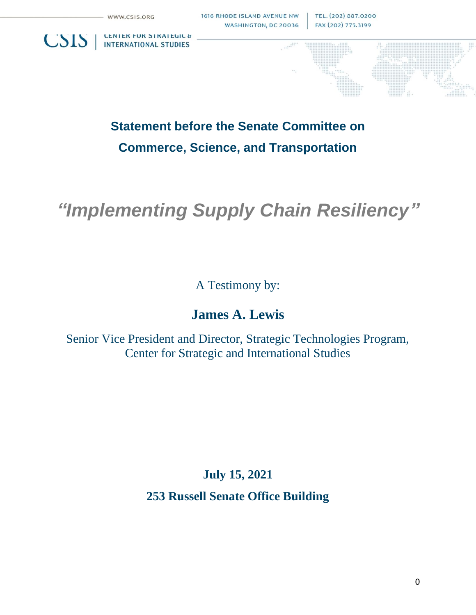**INTERNATIONAL STUDIES** 

**CSIS** | CENTER FUR STRATEGIC &

TEL. (202) 887.0200 FAX (202) 775.3199

**Statement before the Senate Committee on Commerce, Science, and Transportation**

# *"Implementing Supply Chain Resiliency"*

A Testimony by:

# **James A. Lewis**

Senior Vice President and Director, Strategic Technologies Program, Center for Strategic and International Studies

**July 15, 2021**

**253 Russell Senate Office Building**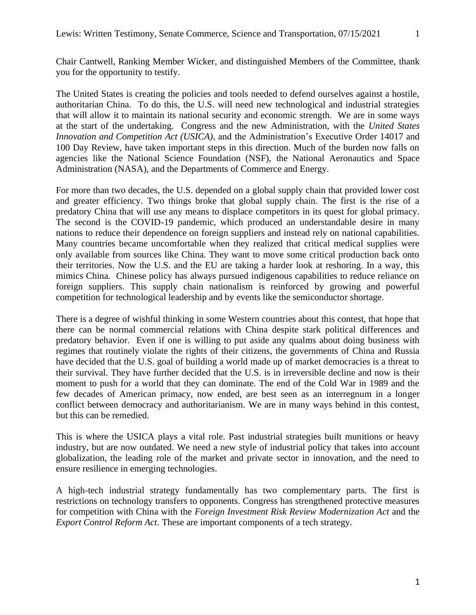Chair Cantwell, Ranking Member Wicker, and distinguished Members of the Committee, thank you for the opportunity to testify.

The United States is creating the policies and tools needed to defend ourselves against a hostile, authoritarian China. To do this, the U.S. will need new technological and industrial strategies that will allow it to maintain its national security and economic strength. We are in some ways at the start of the undertaking. Congress and the new Administration, with the *United States Innovation and Competition Act (USICA)*, and the Administration's Executive Order 14017 and 100 Day Review, have taken important steps in this direction. Much of the burden now falls on agencies like the National Science Foundation (NSF), the National Aeronautics and Space Administration (NASA), and the Departments of Commerce and Energy.

For more than two decades, the U.S. depended on a global supply chain that provided lower cost and greater efficiency. Two things broke that global supply chain. The first is the rise of a predatory China that will use any means to displace competitors in its quest for global primacy. The second is the COVID-19 pandemic, which produced an understandable desire in many nations to reduce their dependence on foreign suppliers and instead rely on national capabilities. Many countries became uncomfortable when they realized that critical medical supplies were only available from sources like China. They want to move some critical production back onto their territories. Now the U.S. and the EU are taking a harder look at reshoring. In a way, this mimics China. Chinese policy has always pursued indigenous capabilities to reduce reliance on foreign suppliers. This supply chain nationalism is reinforced by growing and powerful competition for technological leadership and by events like the semiconductor shortage.

There is a degree of wishful thinking in some Western countries about this contest, that hope that there can be normal commercial relations with China despite stark political differences and predatory behavior. Even if one is willing to put aside any qualms about doing business with regimes that routinely violate the rights of their citizens, the governments of China and Russia have decided that the U.S. goal of building a world made up of market democracies is a threat to their survival. They have further decided that the U.S. is in irreversible decline and now is their moment to push for a world that they can dominate. The end of the Cold War in 1989 and the few decades of American primacy, now ended, are best seen as an interregnum in a longer conflict between democracy and authoritarianism. We are in many ways behind in this contest, but this can be remedied.

This is where the USICA plays a vital role. Past industrial strategies built munitions or heavy industry, but are now outdated. We need a new style of industrial policy that takes into account globalization, the leading role of the market and private sector in innovation, and the need to ensure resilience in emerging technologies.

A high-tech industrial strategy fundamentally has two complementary parts. The first is restrictions on technology transfers to opponents. Congress has strengthened protective measures for competition with China with the *Foreign Investment Risk Review Modernization Act* and the *Export Control Reform Act*. These are important components of a tech strategy.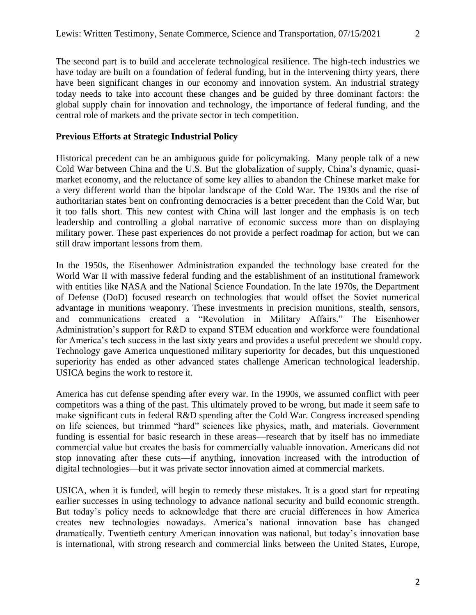#### **Previous Efforts at Strategic Industrial Policy**

Historical precedent can be an ambiguous guide for policymaking. Many people talk of a new Cold War between China and the U.S. But the globalization of supply, China's dynamic, quasimarket economy, and the reluctance of some key allies to abandon the Chinese market make for a very different world than the bipolar landscape of the Cold War. The 1930s and the rise of authoritarian states bent on confronting democracies is a better precedent than the Cold War, but it too falls short. This new contest with China will last longer and the emphasis is on tech leadership and controlling a global narrative of economic success more than on displaying military power. These past experiences do not provide a perfect roadmap for action, but we can still draw important lessons from them.

In the 1950s, the Eisenhower Administration expanded the technology base created for the World War II with massive federal funding and the establishment of an institutional framework with entities like NASA and the National Science Foundation. In the late 1970s, the Department of Defense (DoD) focused research on technologies that would offset the Soviet numerical advantage in munitions weaponry. These investments in precision munitions, stealth, sensors, and communications created a "Revolution in Military Affairs." The Eisenhower Administration's support for R&D to expand STEM education and workforce were foundational for America's tech success in the last sixty years and provides a useful precedent we should copy. Technology gave America unquestioned military superiority for decades, but this unquestioned superiority has ended as other advanced states challenge American technological leadership. USICA begins the work to restore it.

America has cut defense spending after every war. In the 1990s, we assumed conflict with peer competitors was a thing of the past. This ultimately proved to be wrong, but made it seem safe to make significant cuts in federal R&D spending after the Cold War. Congress increased spending on life sciences, but trimmed "hard" sciences like physics, math, and materials. Government funding is essential for basic research in these areas—research that by itself has no immediate commercial value but creates the basis for commercially valuable innovation. Americans did not stop innovating after these cuts—if anything, innovation increased with the introduction of digital technologies—but it was private sector innovation aimed at commercial markets.

USICA, when it is funded, will begin to remedy these mistakes. It is a good start for repeating earlier successes in using technology to advance national security and build economic strength. But today's policy needs to acknowledge that there are crucial differences in how America creates new technologies nowadays. America's national innovation base has changed dramatically. Twentieth century American innovation was national, but today's innovation base is international, with strong research and commercial links between the United States, Europe,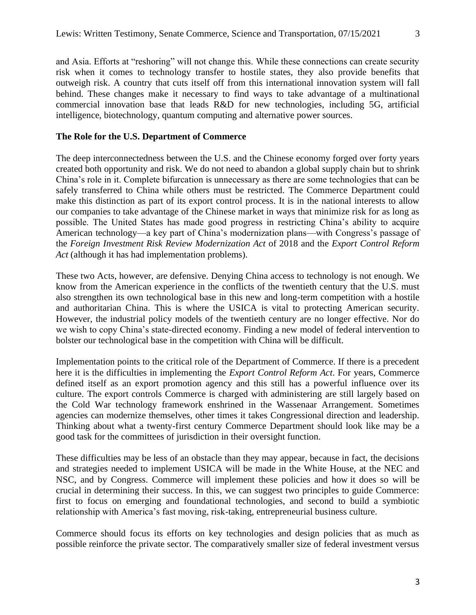and Asia. Efforts at "reshoring" will not change this. While these connections can create security risk when it comes to technology transfer to hostile states, they also provide benefits that outweigh risk. A country that cuts itself off from this international innovation system will fall behind. These changes make it necessary to find ways to take advantage of a multinational commercial innovation base that leads R&D for new technologies, including 5G, artificial intelligence, biotechnology, quantum computing and alternative power sources.

#### **The Role for the U.S. Department of Commerce**

The deep interconnectedness between the U.S. and the Chinese economy forged over forty years created both opportunity and risk. We do not need to abandon a global supply chain but to shrink China's role in it. Complete bifurcation is unnecessary as there are some technologies that can be safely transferred to China while others must be restricted. The Commerce Department could make this distinction as part of its export control process. It is in the national interests to allow our companies to take advantage of the Chinese market in ways that minimize risk for as long as possible. The United States has made good progress in restricting China's ability to acquire American technology—a key part of China's modernization plans—with Congress's passage of the *Foreign Investment Risk Review Modernization Act* of 2018 and the *Export Control Reform Act* (although it has had implementation problems).

These two Acts, however, are defensive. Denying China access to technology is not enough. We know from the American experience in the conflicts of the twentieth century that the U.S. must also strengthen its own technological base in this new and long-term competition with a hostile and authoritarian China. This is where the USICA is vital to protecting American security. However, the industrial policy models of the twentieth century are no longer effective. Nor do we wish to copy China's state-directed economy. Finding a new model of federal intervention to bolster our technological base in the competition with China will be difficult.

Implementation points to the critical role of the Department of Commerce. If there is a precedent here it is the difficulties in implementing the *Export Control Reform Act*. For years, Commerce defined itself as an export promotion agency and this still has a powerful influence over its culture. The export controls Commerce is charged with administering are still largely based on the Cold War technology framework enshrined in the Wassenaar Arrangement. Sometimes agencies can modernize themselves, other times it takes Congressional direction and leadership. Thinking about what a twenty-first century Commerce Department should look like may be a good task for the committees of jurisdiction in their oversight function.

These difficulties may be less of an obstacle than they may appear, because in fact, the decisions and strategies needed to implement USICA will be made in the White House, at the NEC and NSC, and by Congress. Commerce will implement these policies and how it does so will be crucial in determining their success. In this, we can suggest two principles to guide Commerce: first to focus on emerging and foundational technologies, and second to build a symbiotic relationship with America's fast moving, risk-taking, entrepreneurial business culture.

Commerce should focus its efforts on key technologies and design policies that as much as possible reinforce the private sector. The comparatively smaller size of federal investment versus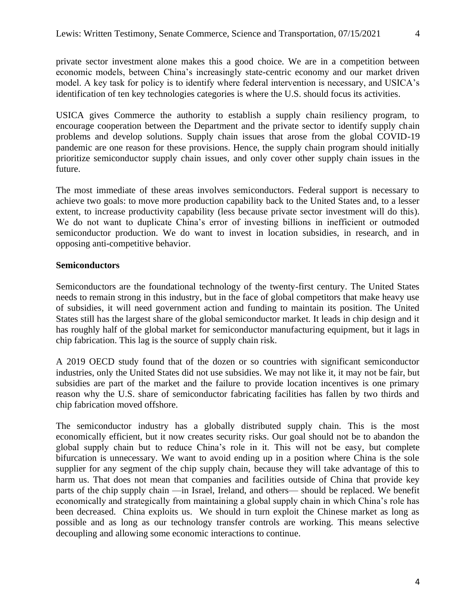private sector investment alone makes this a good choice. We are in a competition between economic models, between China's increasingly state-centric economy and our market driven model. A key task for policy is to identify where federal intervention is necessary, and USICA's identification of ten key technologies categories is where the U.S. should focus its activities.

USICA gives Commerce the authority to establish a supply chain resiliency program, to encourage cooperation between the Department and the private sector to identify supply chain problems and develop solutions. Supply chain issues that arose from the global COVID-19 pandemic are one reason for these provisions. Hence, the supply chain program should initially prioritize semiconductor supply chain issues, and only cover other supply chain issues in the future.

The most immediate of these areas involves semiconductors. Federal support is necessary to achieve two goals: to move more production capability back to the United States and, to a lesser extent, to increase productivity capability (less because private sector investment will do this). We do not want to duplicate China's error of investing billions in inefficient or outmoded semiconductor production. We do want to invest in location subsidies, in research, and in opposing anti-competitive behavior.

#### **Semiconductors**

Semiconductors are the foundational technology of the twenty-first century. The United States needs to remain strong in this industry, but in the face of global competitors that make heavy use of subsidies, it will need government action and funding to maintain its position. The United States still has the largest share of the global semiconductor market. It leads in chip design and it has roughly half of the global market for semiconductor manufacturing equipment, but it lags in chip fabrication. This lag is the source of supply chain risk.

A 2019 OECD study found that of the dozen or so countries with significant semiconductor industries, only the United States did not use subsidies. We may not like it, it may not be fair, but subsidies are part of the market and the failure to provide location incentives is one primary reason why the U.S. share of semiconductor fabricating facilities has fallen by two thirds and chip fabrication moved offshore.

The semiconductor industry has a globally distributed supply chain. This is the most economically efficient, but it now creates security risks. Our goal should not be to abandon the global supply chain but to reduce China's role in it. This will not be easy, but complete bifurcation is unnecessary. We want to avoid ending up in a position where China is the sole supplier for any segment of the chip supply chain, because they will take advantage of this to harm us. That does not mean that companies and facilities outside of China that provide key parts of the chip supply chain —in Israel, Ireland, and others— should be replaced. We benefit economically and strategically from maintaining a global supply chain in which China's role has been decreased. China exploits us. We should in turn exploit the Chinese market as long as possible and as long as our technology transfer controls are working. This means selective decoupling and allowing some economic interactions to continue.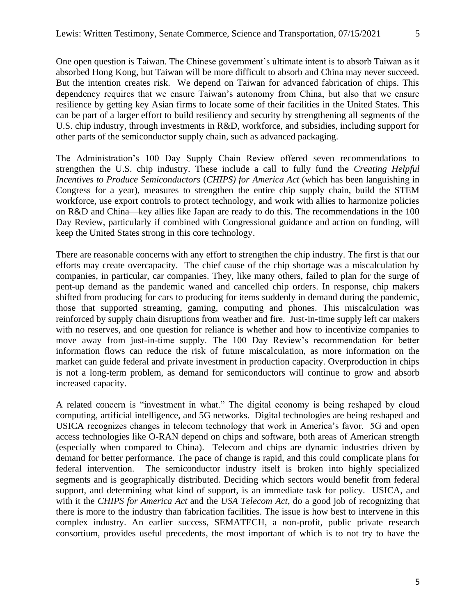One open question is Taiwan. The Chinese government's ultimate intent is to absorb Taiwan as it absorbed Hong Kong, but Taiwan will be more difficult to absorb and China may never succeed. But the intention creates risk. We depend on Taiwan for advanced fabrication of chips. This dependency requires that we ensure Taiwan's autonomy from China, but also that we ensure resilience by getting key Asian firms to locate some of their facilities in the United States. This can be part of a larger effort to build resiliency and security by strengthening all segments of the U.S. chip industry, through investments in R&D, workforce, and subsidies, including support for other parts of the semiconductor supply chain, such as advanced packaging.

The Administration's 100 Day Supply Chain Review offered seven recommendations to strengthen the U.S. chip industry. These include a call to fully fund the *Creating Helpful Incentives to Produce Semiconductors* (*CHIPS) for America Act* (which has been languishing in Congress for a year), measures to strengthen the entire chip supply chain, build the STEM workforce, use export controls to protect technology, and work with allies to harmonize policies on R&D and China—key allies like Japan are ready to do this. The recommendations in the 100 Day Review, particularly if combined with Congressional guidance and action on funding, will keep the United States strong in this core technology.

There are reasonable concerns with any effort to strengthen the chip industry. The first is that our efforts may create overcapacity. The chief cause of the chip shortage was a miscalculation by companies, in particular, car companies. They, like many others, failed to plan for the surge of pent-up demand as the pandemic waned and cancelled chip orders. In response, chip makers shifted from producing for cars to producing for items suddenly in demand during the pandemic, those that supported streaming, gaming, computing and phones. This miscalculation was reinforced by supply chain disruptions from weather and fire. Just-in-time supply left car makers with no reserves, and one question for reliance is whether and how to incentivize companies to move away from just-in-time supply. The 100 Day Review's recommendation for better information flows can reduce the risk of future miscalculation, as more information on the market can guide federal and private investment in production capacity. Overproduction in chips is not a long-term problem, as demand for semiconductors will continue to grow and absorb increased capacity.

A related concern is "investment in what." The digital economy is being reshaped by cloud computing, artificial intelligence, and 5G networks. Digital technologies are being reshaped and USICA recognizes changes in telecom technology that work in America's favor. 5G and open access technologies like O-RAN depend on chips and software, both areas of American strength (especially when compared to China). Telecom and chips are dynamic industries driven by demand for better performance. The pace of change is rapid, and this could complicate plans for federal intervention. The semiconductor industry itself is broken into highly specialized segments and is geographically distributed. Deciding which sectors would benefit from federal support, and determining what kind of support, is an immediate task for policy. USICA, and with it the *CHIPS for America Act* and the *USA Telecom Act*, do a good job of recognizing that there is more to the industry than fabrication facilities. The issue is how best to intervene in this complex industry. An earlier success, SEMATECH, a non-profit, public private research consortium, provides useful precedents, the most important of which is to not try to have the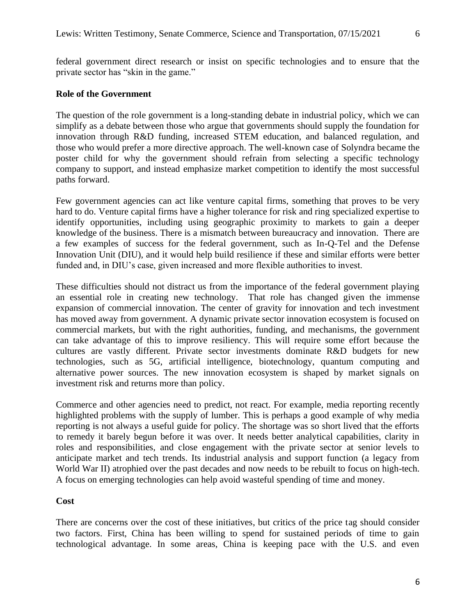federal government direct research or insist on specific technologies and to ensure that the private sector has "skin in the game."

### **Role of the Government**

The question of the role government is a long-standing debate in industrial policy, which we can simplify as a debate between those who argue that governments should supply the foundation for innovation through R&D funding, increased STEM education, and balanced regulation, and those who would prefer a more directive approach. The well-known case of Solyndra became the poster child for why the government should refrain from selecting a specific technology company to support, and instead emphasize market competition to identify the most successful paths forward.

Few government agencies can act like venture capital firms, something that proves to be very hard to do. Venture capital firms have a higher tolerance for risk and ring specialized expertise to identify opportunities, including using geographic proximity to markets to gain a deeper knowledge of the business. There is a mismatch between bureaucracy and innovation. There are a few examples of success for the federal government, such as In-Q-Tel and the Defense Innovation Unit (DIU), and it would help build resilience if these and similar efforts were better funded and, in DIU's case, given increased and more flexible authorities to invest.

These difficulties should not distract us from the importance of the federal government playing an essential role in creating new technology. That role has changed given the immense expansion of commercial innovation. The center of gravity for innovation and tech investment has moved away from government. A dynamic private sector innovation ecosystem is focused on commercial markets, but with the right authorities, funding, and mechanisms, the government can take advantage of this to improve resiliency. This will require some effort because the cultures are vastly different. Private sector investments dominate R&D budgets for new technologies, such as 5G, artificial intelligence, biotechnology, quantum computing and alternative power sources. The new innovation ecosystem is shaped by market signals on investment risk and returns more than policy.

Commerce and other agencies need to predict, not react. For example, media reporting recently highlighted problems with the supply of lumber. This is perhaps a good example of why media reporting is not always a useful guide for policy. The shortage was so short lived that the efforts to remedy it barely begun before it was over. It needs better analytical capabilities, clarity in roles and responsibilities, and close engagement with the private sector at senior levels to anticipate market and tech trends. Its industrial analysis and support function (a legacy from World War II) atrophied over the past decades and now needs to be rebuilt to focus on high-tech. A focus on emerging technologies can help avoid wasteful spending of time and money.

#### **Cost**

There are concerns over the cost of these initiatives, but critics of the price tag should consider two factors. First, China has been willing to spend for sustained periods of time to gain technological advantage. In some areas, China is keeping pace with the U.S. and even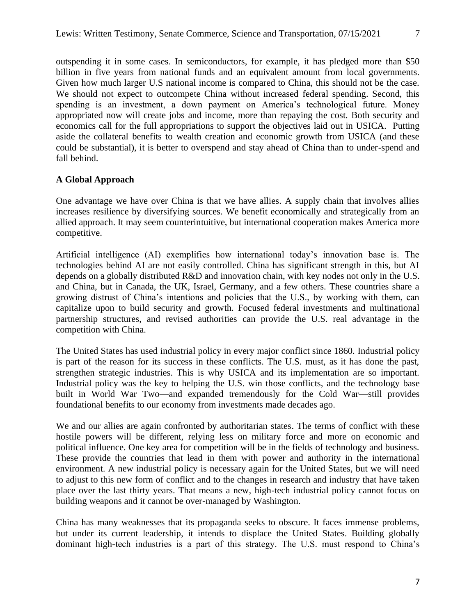outspending it in some cases. In semiconductors, for example, it has pledged more than \$50 billion in five years from national funds and an equivalent amount from local governments. Given how much larger U.S national income is compared to China, this should not be the case. We should not expect to outcompete China without increased federal spending. Second, this spending is an investment, a down payment on America's technological future. Money appropriated now will create jobs and income, more than repaying the cost. Both security and economics call for the full appropriations to support the objectives laid out in USICA. Putting aside the collateral benefits to wealth creation and economic growth from USICA (and these could be substantial), it is better to overspend and stay ahead of China than to under-spend and fall behind.

## **A Global Approach**

One advantage we have over China is that we have allies. A supply chain that involves allies increases resilience by diversifying sources. We benefit economically and strategically from an allied approach. It may seem counterintuitive, but international cooperation makes America more competitive.

Artificial intelligence (AI) exemplifies how international today's innovation base is. The technologies behind AI are not easily controlled. China has significant strength in this, but AI depends on a globally distributed R&D and innovation chain, with key nodes not only in the U.S. and China, but in Canada, the UK, Israel, Germany, and a few others. These countries share a growing distrust of China's intentions and policies that the U.S., by working with them, can capitalize upon to build security and growth. Focused federal investments and multinational partnership structures, and revised authorities can provide the U.S. real advantage in the competition with China.

The United States has used industrial policy in every major conflict since 1860. Industrial policy is part of the reason for its success in these conflicts. The U.S. must, as it has done the past, strengthen strategic industries. This is why USICA and its implementation are so important. Industrial policy was the key to helping the U.S. win those conflicts, and the technology base built in World War Two—and expanded tremendously for the Cold War—still provides foundational benefits to our economy from investments made decades ago.

We and our allies are again confronted by authoritarian states. The terms of conflict with these hostile powers will be different, relying less on military force and more on economic and political influence. One key area for competition will be in the fields of technology and business. These provide the countries that lead in them with power and authority in the international environment. A new industrial policy is necessary again for the United States, but we will need to adjust to this new form of conflict and to the changes in research and industry that have taken place over the last thirty years. That means a new, high-tech industrial policy cannot focus on building weapons and it cannot be over-managed by Washington.

China has many weaknesses that its propaganda seeks to obscure. It faces immense problems, but under its current leadership, it intends to displace the United States. Building globally dominant high-tech industries is a part of this strategy. The U.S. must respond to China's